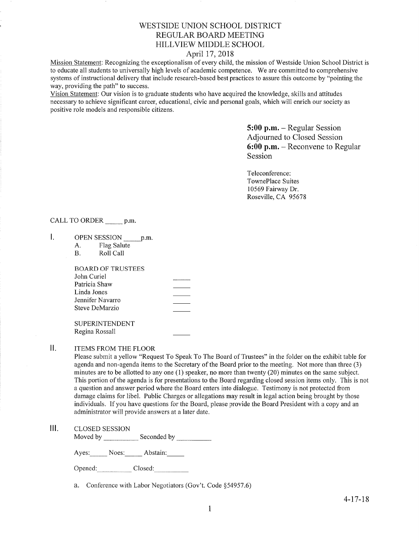# WESTSIDE UNION SCHOOL DISTRICT REGULAR BOARD MEETING HILLVIEV/ MIDDLE SCHOOL

## April 17,2018

Mission Statement: Recognizing the exceptionalism of every child, the mission of Westside Union School District is to educate all students to universally high levels of academic competence. We are committed to comprehensive systems of instructional delivery that include research-based best practices to assure this outcome by "pointing the way, providing the path" to success.

Vision Statement: Our vision is to graduate students who have acquired the knowledge, skills and attitudes necessary to achieve significant career, educational, civic and personal goals, which will enrich our society as positive role models and responsible citizens.

> 5:00 p.m. - Regular Session Adjourned to Closed Session 6:00 p.m. - Reconvene to Regular Session

Teleconference: TownePlace Suites 10569 Fairway Dr. Roseville, CA <sup>95678</sup>

CALL TO ORDER \_\_\_\_\_ p.m.

- I. OPEN SESSION p.m.
	- A. Flag Salute B. Roll Call
	-

| BOARD OF TRUSTEES |  |
|-------------------|--|
| John Curiel       |  |
| Patricia Shaw     |  |
| Linda Jones       |  |
| Jennifer Navarro  |  |
| Steve DeMarzio    |  |
|                   |  |

SUPERINTENDENT Regina Rossall

**II.** ITEMS FROM THE FLOOR

Please submit a yellow "Request To Speak To The Board of Trustees" in the folder on the exhibit table for agenda and non-agenda items to the Secretary of the Board prior to the meeting. Not more than three (3) minutes are to be allotted to any one (1) speaker, no more than twenty (20) minutes on the same subject. This portion of the agenda is for presentations to the Board regarding closed session items only. This is not a question and answer period where the Board enters into dialogue. Testimony is not protected from damage claims for libel. Public Charges or allegations may result in legal action being brought by those individuals. If you have questions for the Board, please provide the Board President with a copy and an administrator will provide answers at a later date.

## lll. cLosED sESSroN

Moved by Seconded by

Ayes: Noes: Abstain:

Opened: Closed:

a. Conference with Labor Negotiators (Gov't. Code \$54957.6)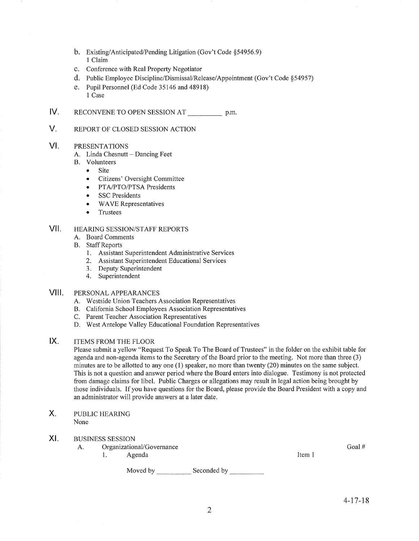- b. Existing/Anticipated/Pending Litigation (Gov't Code §54956.9)<br>1 Claim
- c. Conference with Real Property Negotiator
- d. Public Employee Discipline/Dismissal/Release/Appointment (Gov't Code \$54957)
- e. Pupil Personnel (Ed Code 35146 and 48918) I Case
- $IV.$ RECONVENE TO OPEN SESSION AT p.m.

#### V. REPORT OF CLOSED SESSION ACTION

#### VI PRESENTATIONS

- A. Linda Chesnutt Dancing Feet B. Volunteers
- - Site
	- . Citizens' Oversight Committee
	- PTA/PTO/PTSA Presidents
	- SSC Presidents
	- WAVE Representatives
	- Trustees

#### HEAzuNG SESSION/STAFF REPORTS vil

- A. Board Comments
- **B.** Staff Reports
	- 1. Assistant Superintendent Administrative Services
	- 2. Assistant Superintendent Educational Services
	- 3. Deputy Superintendent 4. Superintendent
	-

#### PERSONAL APPEARANCES VIII.

- A. Westside Union Teachers Association Representatives
- B. California School Employees Association Representatives C. Parent Teacher Association Representatives
- 
- D. West Antelope Valley Educational Foundation Representatives

#### ITEMS FROM THE FLOOR IX.

Please submit a yellow "Request To Speak To The Board of Trustees" in the folder on the exhibit table for agenda and non-agenda items to the Secretary of the Board prior to the meeting. Not more than three (3) minutes are to be allotted to any one (1) speaker, no more than twenty (20) minutes on the same subject. This is not a question and answer period where the Board enters into dialogue. Testimony is not protected from damage claims for libel. Public Charges or allegations may result in legal action being brought by those individuals. If you have questions for the Board, please provide the Board President with a copy and an administrator will provide answers at alater date.

PUBLIC HEARING None X.

## XI. BUSINESS SESSION

A. Organizational/Governance Goal # Goal # Goal # Goal # Goal # Goal # Goal # Goal # Goal # Goal # Goal # Goal # Goal # Goal # Goal # Goal # Goal # Goal # Goal # Goal # Goal # Goal # Goal # Goal # Goal # Goal # Goal # Goal

Moved by \_\_\_\_\_\_\_\_\_\_\_\_\_\_ Seconded by \_\_\_\_\_\_\_\_\_\_\_\_

Item <sup>I</sup>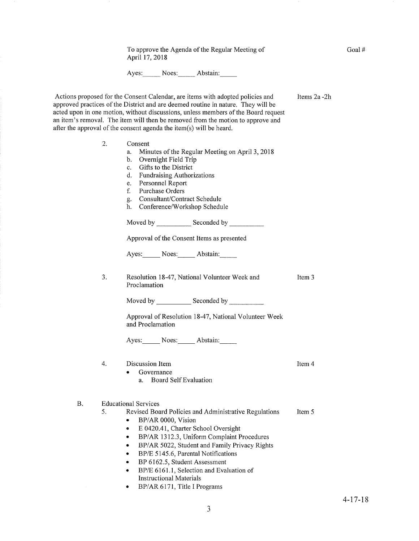To approve the Agenda of the Regular Meeting of April 17,2018

Ayes: Noes: Abstain:

Actions proposed for the Consent Calendar, are items with adopted policies and approved practices of the District and are deemed routine in nature. They will be acted upon in one motion, without discussions, unless members of the Board request an item's removal. The item will then be removed from the motion to approve and after the approval of the consent agenda the item(s) will be heard.

3.

B.

2. Consent a. Minutes of the Regular Meeting on April 3,2078 b. Overnight Field Trip c. Gifts to the District d. FundraisingAuthorizations e. Personnel Report f. Purchase Orders C. Consultant/Contract Schedule h. Conference/Workshop Schedule Moved by Seconded by Approval of the Consent Items as presented Ayes: Noes: Abstain: Resolution 18-47, National Volunteer Week and Proclamation Moved bv Seconded by Approval of Resolution 18-47, National Volunteer Week and Proclamation Ayes: Noes: Abstain: 4. Discussion Item • Governance a. Board Self Evaluation Educational Services 5. Revised Board Policies and Administrative Regulations . BP/AR 0000, Vision • E 0420.41, Charter School Oversight • BP/AR 1312.3, Uniform Complaint Procedures . BP/AR 5022, Student and Family Privacy Rights • BP/E 5145.6, Parental Notifications BP 6162.5, Student Assessment Item <sup>3</sup> Item <sup>5</sup>

- BP/E 6161.1, Selection and Evaluation of Instructional Materials
- BP/AR 6171, Title I Programs

Item 4

Items 2a -2h

Goal #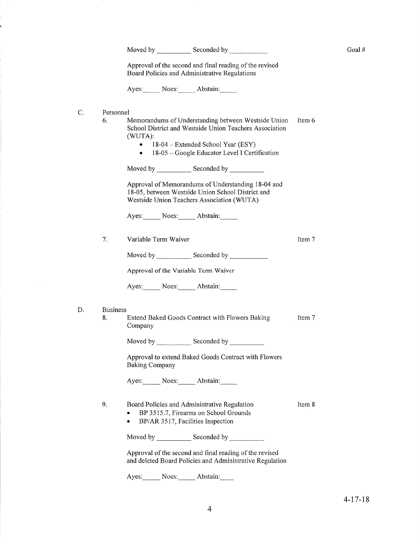| Moved by |  | Seconded by |  |  |
|----------|--|-------------|--|--|
|----------|--|-------------|--|--|

Goal #

Item 7

Approval of the second and final reading of the revised Board Policies and Administrative Regulations

Ayes: Noes: Abstain:

 $\mathbf C.$ Personnel

> 6. Memorandums of Understanding between Westside Union Item 6 School District and Westside Union Teachers Association (WUTA):

- 18-04 Extended School Year (ESY)  $\bullet$
- 18-05 Google Educator Level I Certification  $\bullet$

Approval of Memorandums of Understanding 18-04 and 18-05, between Westside Union School District and Westside Union Teachers Association (WUTA)

Ayes: Noes: Abstain:

7. Variable Term Waiver

Approval of the Variable Term Waiver

Ayes: Noes: Abstain:

- D. **Business** 8.
	-
- Extend Baked Goods Contract with Flowers Baking Item 7 Company

Approval to extend Baked Goods Contract with Flowers **Baking Company** 

Ayes: Noes: Abstain:

| 9. | Board Policies and Administrative Regulation | Item 8 |
|----|----------------------------------------------|--------|
|    | BP 3515.7, Firearms on School Grounds        |        |

BP/AR 3517, Facilities Inspection  $\bullet$ 

Moved by Seconded by

Approval of the second and final reading of the revised and deleted Board Policies and Administrative Regulation

Ayes: Noes: Abstain: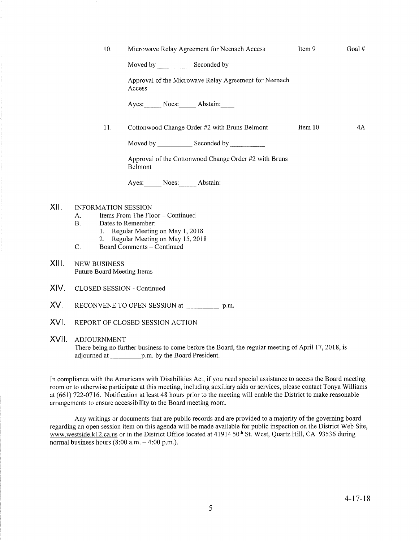|      | 10.                        | Microwave Relay Agreement for Neenach Access                                                                                                                                                                                  | Item 9  | Goal# |
|------|----------------------------|-------------------------------------------------------------------------------------------------------------------------------------------------------------------------------------------------------------------------------|---------|-------|
|      |                            | Moved by Seconded by Seconded by                                                                                                                                                                                              |         |       |
|      |                            | Approval of the Microwave Relay Agreement for Neenach<br>Access                                                                                                                                                               |         |       |
|      |                            | Ayes: Noes: Abstain:                                                                                                                                                                                                          |         |       |
|      | 11.                        | Cottonwood Change Order #2 with Bruns Belmont                                                                                                                                                                                 | Item 10 | 4A    |
|      |                            | Moved by Seconded by Seconded by Seconded by Seconded by Seconded by Seconded by Seconded by Seconded by Seconded by Seconded by Seconded by Seconded by Seconded by Seconded by Seconded by Seconded by Seconded by Seconded |         |       |
|      |                            | Approval of the Cottonwood Change Order #2 with Bruns<br>Belmont                                                                                                                                                              |         |       |
|      |                            | Ayes: Noes: Abstain:                                                                                                                                                                                                          |         |       |
| XII. | <b>INFORMATION SESSION</b> | A. Items From The Floor – Continued                                                                                                                                                                                           |         |       |

- B. Dates to Remember:
	- 1. Regular Meeting on May 1,2018
- 2. Regular Meeting on May 15, 2018<br>C. Board Comments Continued
- 
- XIII. NEW BUSINESS Future Board Meeting Items
- XIV. CLOSED SESSION - Continued
- XV. RECONVENE TO OPEN SESSION at p.m.
- XVI. REPORT OF CLOSED SESSION ACTION

## XVII. ADJOURNMENT

There being no further business to come before the Board, the regular meeting of April 17, 2018, is adjourned at p.m. by the Board President.

In compliance with the Americans with Disabilities Act, if you need special assistance to access the Board meeting room or to otherwise participate at this meeting, including auxiliary aids or services, please contact Tonya Williams at (661) 722-0716. Notification at least 48 hours prior to the meeting will enable the District to make reasonable arrangements to ensure accessibility to the Board meeting room.

Any writings or documents that are public records and are provided to a majority of the governing board regarding an open session item on this agenda will be made available for public inspection on the District Web Site, www.westside.kl2.ca.us or in the District Office located at 41914 50<sup>th</sup> St. West, Quartz Hill, CA 93536 during normal business hours  $(8:00 a.m. - 4:00 p.m.).$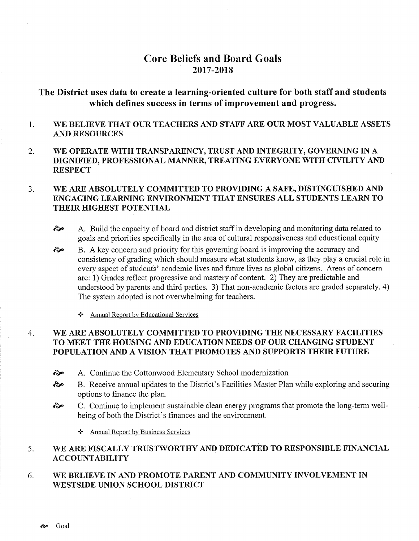# **Core Beliefs and Board Goals** 2017-2018

# The District uses data to create a learning-oriented culture for both staff and students which defines success in terms of improvement and progress.

#### WE BELIEVE THAT OUR TEACHERS AND STAFF ARE OUR MOST VALUABLE ASSETS 1. **AND RESOURCES**

WE OPERATE WITH TRANSPARENCY, TRUST AND INTEGRITY, GOVERNING IN A  $\overline{2}$ . DIGNIFIED, PROFESSIONAL MANNER, TREATING EVERYONE WITH CIVILITY AND **RESPECT** 

#### $3.$ WE ARE ABSOLUTELY COMMITTED TO PROVIDING A SAFE, DISTINGUISHED AND ENGAGING LEARNING ENVIRONMENT THAT ENSURES ALL STUDENTS LEARN TO **THEIR HIGHEST POTENTIAL**

- A. Build the capacity of board and district staff in developing and monitoring data related to જે goals and priorities specifically in the area of cultural responsiveness and educational equity
- B. A key concern and priority for this governing board is improving the accuracy and જે consistency of grading which should measure what students know, as they play a crucial role in every aspect of students' academic lives and future lives as global citizens. Areas of concern are: 1) Grades reflect progressive and mastery of content. 2) They are predictable and understood by parents and third parties. 3) That non-academic factors are graded separately. 4) The system adopted is not overwhelming for teachers.
	- Annual Report by Educational Services

### $\overline{4}$ . WE ARE ABSOLUTELY COMMITTED TO PROVIDING THE NECESSARY FACILITIES TO MEET THE HOUSING AND EDUCATION NEEDS OF OUR CHANGING STUDENT POPULATION AND A VISION THAT PROMOTES AND SUPPORTS THEIR FUTURE

- જે A. Continue the Cottonwood Elementary School modernization
- તે B. Receive annual updates to the District's Facilities Master Plan while exploring and securing options to finance the plan.
- C. Continue to implement sustainable clean energy programs that promote the long-term well-જે being of both the District's finances and the environment.
	- ❖ Annual Report by Business Services

#### WE ARE FISCALLY TRUSTWORTHY AND DEDICATED TO RESPONSIBLE FINANCIAL 5. **ACCOUNTABILITY**

WE BELIEVE IN AND PROMOTE PARENT AND COMMUNITY INVOLVEMENT IN 6. **WESTSIDE UNION SCHOOL DISTRICT**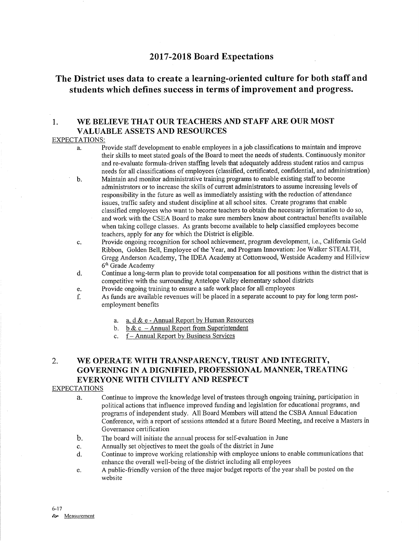## <sup>2017</sup>-2018 Board Expectations

# The District uses data to create a learning-oriented culture for both staff and students which defines success in terms of improvement and progress.

## 1. WE BELIEVE THAT OUR TEACHERS AND STAFF ARE OUR MOST VALUABLE ASSETS AND RESOURCES

### EXPECTATIONS:

- a. Provide staff development to enable employees in a job classifications to maintain and improve their skills to meet stated goals of the Board to meet the needs of students. Continuously monitor and re-evaluate formula-driven staffurg levels that adequately address student ratios and campus needs for all classifications of employees (classified, certificated, confidential, and adminishation)
- b. Maintain and monitor administrative training programs to enable existing staff to become administrators or to increase the skills of current administrators to assume increasing levels of responsibility in the future as well as immediately assisting with the reduction of attendance issues, traffic safety and student discipline at all school sites. Create programs that enable classified employees who want to become teachers to obtain the necessary information to do so, and work with the CSEA Board to make sure members know about contractual benefits available when taking college classes. As grants become available to help classified employees become teachers, apply for any for which the District is eligible.
- c. Provide ongoing recognition for school achievement, program development, i.e., California Gold Ribbon, Golden Bell, Employee of the Year, and Program Innovation: Joe Walker STEALTH, Gregg Anderson Academy, The IDEA Academy at Cottonwood, 'Westside Academy and Hillview 6'h Grade Academy
- d. Continue a long-term plan to provide total compensation for all positions within the district that is competitive with the surrounding Antelope Valley elementary school districts
- e. Provide ongoing training to ensure a safe work place for all employees
- f. As funds are available revenues will be placed in a separate account to pay for long term postemployment benefits
	- a. a, <u>d & e Annual Report by Human Resources</u>
	- b. b & c Annual Report from Superintendent
	- c. f Annual Report by Business Services

# 2. WE OPERATE WITH TRANSPARENCY, TRUST AND INTEGRITY, GOVERNING IN A DIGNIFIED, PROFESSIONAL MANNER, TREATING EVERYONE WITH CIVILITY AND RESPECT

## EXPECTATIONS

- a. Continue to improve the knowledge level of trustees through ongoing training, participation in political actions that influence improved funding and legislation for educational programs, and programs of independent study. All Board Members will attend the CSBA Annual Education Conference, with a report of sessions attended at a future Board Meeting, and receive a Masters in Governance certification
- The board will initiate the annual process for self-evaluation in June  $\mathbf{b}$ .
- Annually set objectives to meet the goals of the district in June  $\mathbf{c}$ .
- Continue to improve working relationship with employee unions to enable communications that enhance the overall well-being of the district including all employees d.
- A public-friendly version of the three major budget reports of the year shall be posted on the website e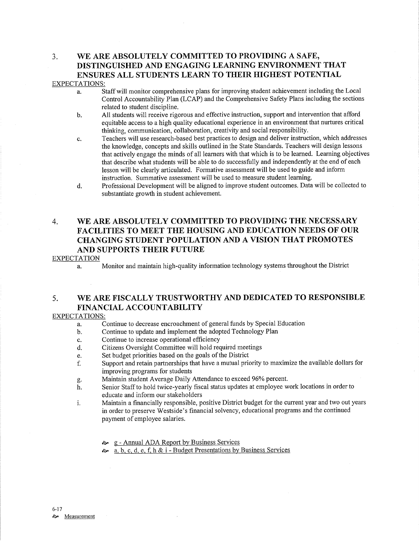# 3. WE ARE ABSOLUTELY COMMITTED TO PROVIDING A SAFE, DISTINGUISHED AND ENGAGING LEARNING ENVIRONMENT THAT ENSURES ALL STUDENTS LEARN TO THEIR HIGHEST POTENTIAL

## EXPECTATIONS:

- a. Staff will monitor comprehensive plans for improving student achievement including the Local Control Accountability Plan (LCAP) and the Comprehensive Safety Plans including the sections related to student discipline.
- b. All students will receive rigorous and effective instruction, support and intervention that afford equitable access to a high quality educational experience in an environment that nurtures critical thinking, communication, collaboration, creativity and social responsibility.
- c. Teachers will use research-based best practices to design and deliver instruction, which addresses the knowledge, concepts and skills outlined in the State Standards. Teachers will design lessons that actively engage the minds of all leamers with that which is to be learned. Leaming objectives that describe what students will be able to do successfully and independently at the end of each lesson will be clearly articulated. Formative assessment will be used to guide and inform instruction. Summative assessment will be used to measure student learning.
- d. Professional Development will be aligned to improve student outcomes. Data will be collected to substantiate growth in student achievement.

# 4. WE ARE ABSOLUTELY COMMITTED TO PROVIDING THE NECESSARY FACILITIES TO MEET THE HOUSING AND EDUCATION NEEDS OF OUR CHANGING STUDENT POPULATION AND A VISION THAT PROMOTES AND SUPPORTS THEIR FUTURE

### EXPECTATION

a. Monitor and maintain high-quality information technology systems throughout the District

# 5. WE ARE FISCALLY TRUSTWORTHY AND DEDICATED TO RESPONSIBLE FINANCIAL ACCOUNTABILITY

### EXPECTATIONS:

- a. Continue to decrease encroachment of general funds by Special Education
- b. Continue to update and implement the adopted Technology Plan
- c. Continue to increase operational efficiency
- d. Citizens Oversight Committee will hold required meetings
- e. Set budget priorities based on the goals of the District
- f. Supporl and retain partnerships that have a mutual priority to maximize the available dollars for
- improving programs for students<br>Maintain student Average Daily Attendance to exceed 96% percent.
- g. Maintain student Average Daily Attendance to exceed 96% percent.<br>h. Senior Staff to hold twice-yearly fiscal status updates at employee work locations in order to educate and inform our stakeholders
- i. Maintain a financially responsible, positive District budget for the current year and two out years in order to preserve Westside's financial solvency, educational programs and the continued payment of employee salaries.
	- **→** g Annual ADA Report by Business Ser
	- $\approx a, b, c, d, e, f, h & i$  Budget Presentations by Business Services